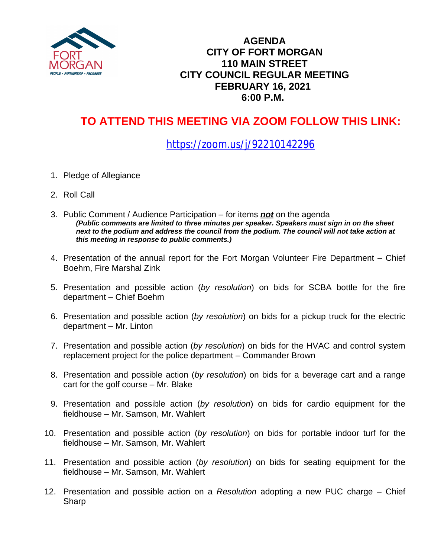

### **AGENDA CITY OF FORT MORGAN 110 MAIN STREET CITY COUNCIL REGULAR MEETING FEBRUARY 16, 2021 6:00 P.M.**

# **TO ATTEND THIS MEETING VIA ZOOM FOLLOW THIS LINK:**

## <https://zoom.us/j/92210142296>

- 1. Pledge of Allegiance
- 2. Roll Call
- 3. Public Comment / Audience Participation for items *not* on the agenda *(Public comments are limited to three minutes per speaker. Speakers must sign in on the sheet*  next to the podium and address the council from the podium. The council will not take action at *this meeting in response to public comments.)*
- 4. Presentation of the annual report for the Fort Morgan Volunteer Fire Department Chief Boehm, Fire Marshal Zink
- 5. Presentation and possible action (*by resolution*) on bids for SCBA bottle for the fire department – Chief Boehm
- 6. Presentation and possible action (*by resolution*) on bids for a pickup truck for the electric department – Mr. Linton
- 7. Presentation and possible action (*by resolution*) on bids for the HVAC and control system replacement project for the police department – Commander Brown
- 8. Presentation and possible action (*by resolution*) on bids for a beverage cart and a range cart for the golf course – Mr. Blake
- 9. Presentation and possible action (*by resolution*) on bids for cardio equipment for the fieldhouse – Mr. Samson, Mr. Wahlert
- 10. Presentation and possible action (*by resolution*) on bids for portable indoor turf for the fieldhouse – Mr. Samson, Mr. Wahlert
- 11. Presentation and possible action (*by resolution*) on bids for seating equipment for the fieldhouse – Mr. Samson, Mr. Wahlert
- 12. Presentation and possible action on a *Resolution* adopting a new PUC charge Chief Sharp